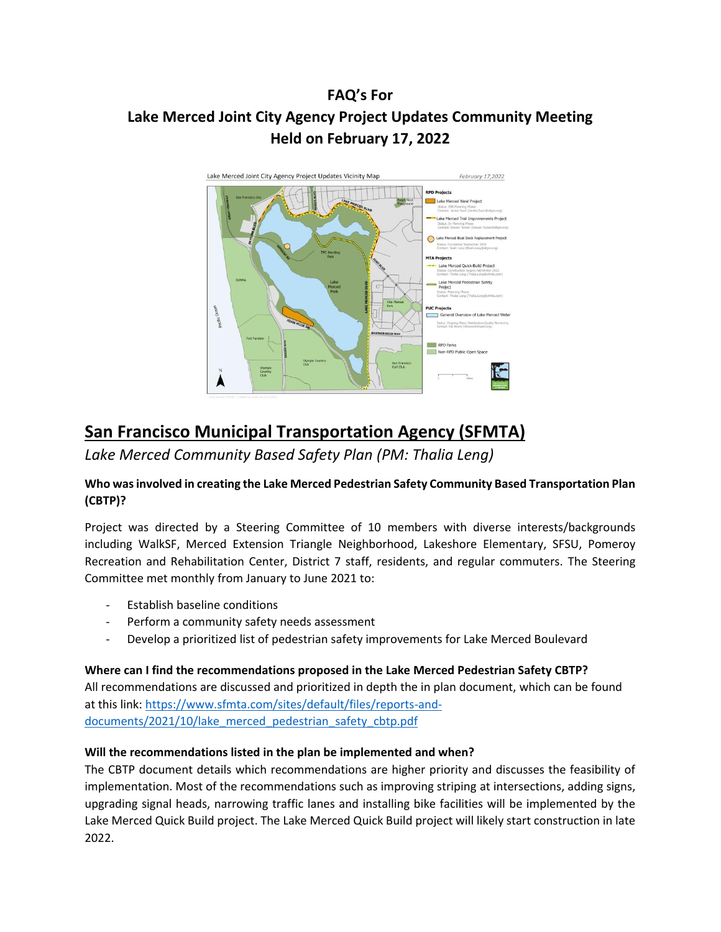# **FAQ's For Lake Merced Joint City Agency Project Updates Community Meeting Held on February 17, 2022**



# **San Francisco Municipal Transportation Agency (SFMTA)**

*Lake Merced Community Based Safety Plan (PM: Thalia Leng)*

# **Who was involved in creating the Lake Merced Pedestrian Safety Community Based Transportation Plan (CBTP)?**

Project was directed by a Steering Committee of 10 members with diverse interests/backgrounds including WalkSF, Merced Extension Triangle Neighborhood, Lakeshore Elementary, SFSU, Pomeroy Recreation and Rehabilitation Center, District 7 staff, residents, and regular commuters. The Steering Committee met monthly from January to June 2021 to:

- Establish baseline conditions
- Perform a community safety needs assessment
- Develop a prioritized list of pedestrian safety improvements for Lake Merced Boulevard

# **Where can I find the recommendations proposed in the Lake Merced Pedestrian Safety CBTP?**

All recommendations are discussed and prioritized in depth the in plan document, which can be found at this link: [https://www.sfmta.com/sites/default/files/reports-and](https://www.sfmta.com/sites/default/files/reports-and-documents/2021/10/lake_merced_pedestrian_safety_cbtp.pdf)[documents/2021/10/lake\\_merced\\_pedestrian\\_safety\\_cbtp.pdf](https://www.sfmta.com/sites/default/files/reports-and-documents/2021/10/lake_merced_pedestrian_safety_cbtp.pdf)

# **Will the recommendations listed in the plan be implemented and when?**

The CBTP document details which recommendations are higher priority and discusses the feasibility of implementation. Most of the recommendations such as improving striping at intersections, adding signs, upgrading signal heads, narrowing traffic lanes and installing bike facilities will be implemented by the Lake Merced Quick Build project. The Lake Merced Quick Build project will likely start construction in late 2022.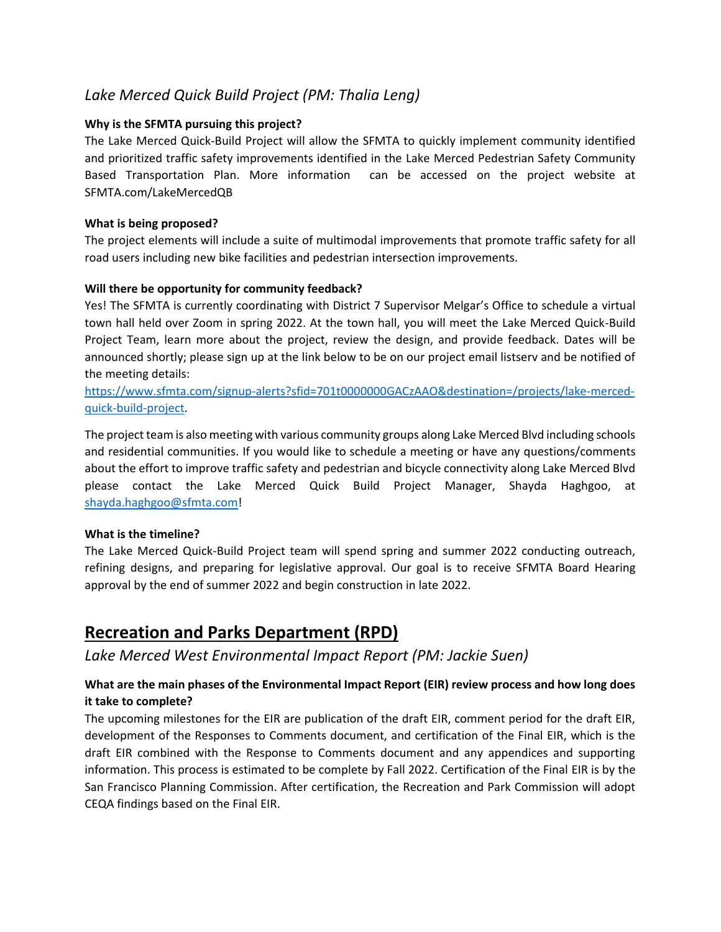# *Lake Merced Quick Build Project (PM: Thalia Leng)*

## **Why is the SFMTA pursuing this project?**

The Lake Merced Quick-Build Project will allow the SFMTA to quickly implement community identified and prioritized traffic safety improvements identified in the Lake Merced Pedestrian Safety Community Based Transportation Plan. More information can be accessed on the project website at SFMTA.com/LakeMercedQB

#### **What is being proposed?**

The project elements will include a suite of multimodal improvements that promote traffic safety for all road users including new bike facilities and pedestrian intersection improvements.

## **Will there be opportunity for community feedback?**

Yes! The SFMTA is currently coordinating with District 7 Supervisor Melgar's Office to schedule a virtual town hall held over Zoom in spring 2022. At the town hall, you will meet the Lake Merced Quick-Build Project Team, learn more about the project, review the design, and provide feedback. Dates will be announced shortly; please sign up at the link below to be on our project email listserv and be notified of the meeting details:

[https://www.sfmta.com/signup-alerts?sfid=701t0000000GACzAAO&destination=/projects/lake-merced](https://www.sfmta.com/signup-alerts?sfid=701t0000000GACzAAO&destination=/projects/lake-merced-quick-build-project)[quick-build-project.](https://www.sfmta.com/signup-alerts?sfid=701t0000000GACzAAO&destination=/projects/lake-merced-quick-build-project)

The project team is also meeting with various community groups along Lake Merced Blvd including schools and residential communities. If you would like to schedule a meeting or have any questions/comments about the effort to improve traffic safety and pedestrian and bicycle connectivity along Lake Merced Blvd please contact the Lake Merced Quick Build Project Manager, Shayda Haghgoo, at [shayda.haghgoo@sfmta.com!](mailto:shayda.haghgoo@sfmta.com)

#### **What is the timeline?**

The Lake Merced Quick-Build Project team will spend spring and summer 2022 conducting outreach, refining designs, and preparing for legislative approval. Our goal is to receive SFMTA Board Hearing approval by the end of summer 2022 and begin construction in late 2022.

# **Recreation and Parks Department (RPD)**

*Lake Merced West Environmental Impact Report (PM: Jackie Suen)*

# **What are the main phases of the Environmental Impact Report (EIR) review process and how long does it take to complete?**

The upcoming milestones for the EIR are publication of the draft EIR, comment period for the draft EIR, development of the Responses to Comments document, and certification of the Final EIR, which is the draft EIR combined with the Response to Comments document and any appendices and supporting information. This process is estimated to be complete by Fall 2022. Certification of the Final EIR is by the San Francisco Planning Commission. After certification, the Recreation and Park Commission will adopt CEQA findings based on the Final EIR.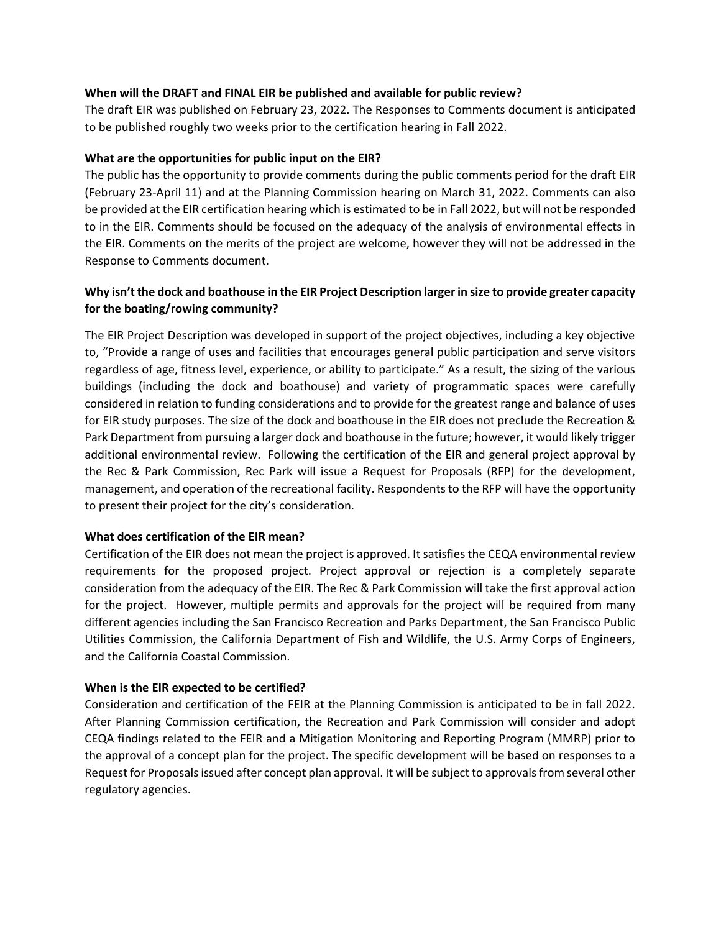#### **When will the DRAFT and FINAL EIR be published and available for public review?**

The draft EIR was published on February 23, 2022. The Responses to Comments document is anticipated to be published roughly two weeks prior to the certification hearing in Fall 2022.

#### **What are the opportunities for public input on the EIR?**

The public has the opportunity to provide comments during the public comments period for the draft EIR (February 23-April 11) and at the Planning Commission hearing on March 31, 2022. Comments can also be provided at the EIR certification hearing which is estimated to be in Fall 2022, but will not be responded to in the EIR. Comments should be focused on the adequacy of the analysis of environmental effects in the EIR. Comments on the merits of the project are welcome, however they will not be addressed in the Response to Comments document.

# **Why isn't the dock and boathouse in the EIR Project Description larger in size to provide greater capacity for the boating/rowing community?**

The EIR Project Description was developed in support of the project objectives, including a key objective to, "Provide a range of uses and facilities that encourages general public participation and serve visitors regardless of age, fitness level, experience, or ability to participate." As a result, the sizing of the various buildings (including the dock and boathouse) and variety of programmatic spaces were carefully considered in relation to funding considerations and to provide for the greatest range and balance of uses for EIR study purposes. The size of the dock and boathouse in the EIR does not preclude the Recreation & Park Department from pursuing a larger dock and boathouse in the future; however, it would likely trigger additional environmental review. Following the certification of the EIR and general project approval by the Rec & Park Commission, Rec Park will issue a Request for Proposals (RFP) for the development, management, and operation of the recreational facility. Respondents to the RFP will have the opportunity to present their project for the city's consideration.

#### **What does certification of the EIR mean?**

Certification of the EIR does not mean the project is approved. It satisfies the CEQA environmental review requirements for the proposed project. Project approval or rejection is a completely separate consideration from the adequacy of the EIR. The Rec & Park Commission will take the first approval action for the project. However, multiple permits and approvals for the project will be required from many different agencies including the San Francisco Recreation and Parks Department, the San Francisco Public Utilities Commission, the California Department of Fish and Wildlife, the U.S. Army Corps of Engineers, and the California Coastal Commission.

#### **When is the EIR expected to be certified?**

Consideration and certification of the FEIR at the Planning Commission is anticipated to be in fall 2022. After Planning Commission certification, the Recreation and Park Commission will consider and adopt CEQA findings related to the FEIR and a Mitigation Monitoring and Reporting Program (MMRP) prior to the approval of a concept plan for the project. The specific development will be based on responses to a Request for Proposals issued after concept plan approval. It will be subject to approvals from several other regulatory agencies.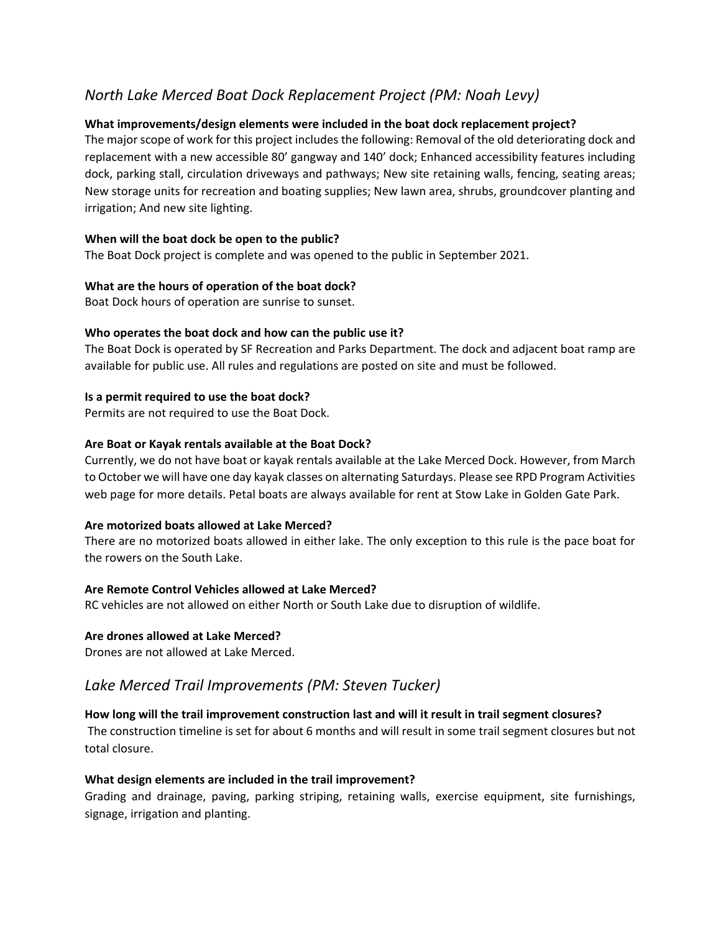# *North Lake Merced Boat Dock Replacement Project (PM: Noah Levy)*

## **What improvements/design elements were included in the boat dock replacement project?**

The major scope of work for this project includes the following: Removal of the old deteriorating dock and replacement with a new accessible 80' gangway and 140' dock; Enhanced accessibility features including dock, parking stall, circulation driveways and pathways; New site retaining walls, fencing, seating areas; New storage units for recreation and boating supplies; New lawn area, shrubs, groundcover planting and irrigation; And new site lighting.

#### **When will the boat dock be open to the public?**

The Boat Dock project is complete and was opened to the public in September 2021.

## **What are the hours of operation of the boat dock?**

Boat Dock hours of operation are sunrise to sunset.

## **Who operates the boat dock and how can the public use it?**

The Boat Dock is operated by SF Recreation and Parks Department. The dock and adjacent boat ramp are available for public use. All rules and regulations are posted on site and must be followed.

## **Is a permit required to use the boat dock?**

Permits are not required to use the Boat Dock.

## **Are Boat or Kayak rentals available at the Boat Dock?**

Currently, we do not have boat or kayak rentals available at the Lake Merced Dock. However, from March to October we will have one day kayak classes on alternating Saturdays. Please see RPD Program Activities web page for more details. Petal boats are always available for rent at Stow Lake in Golden Gate Park.

#### **Are motorized boats allowed at Lake Merced?**

There are no motorized boats allowed in either lake. The only exception to this rule is the pace boat for the rowers on the South Lake.

#### **Are Remote Control Vehicles allowed at Lake Merced?**

RC vehicles are not allowed on either North or South Lake due to disruption of wildlife.

#### **Are drones allowed at Lake Merced?**

Drones are not allowed at Lake Merced.

# *Lake Merced Trail Improvements (PM: Steven Tucker)*

# **How long will the trail improvement construction last and will it result in trail segment closures?**

The construction timeline is set for about 6 months and will result in some trail segment closures but not total closure.

#### **What design elements are included in the trail improvement?**

Grading and drainage, paving, parking striping, retaining walls, exercise equipment, site furnishings, signage, irrigation and planting.